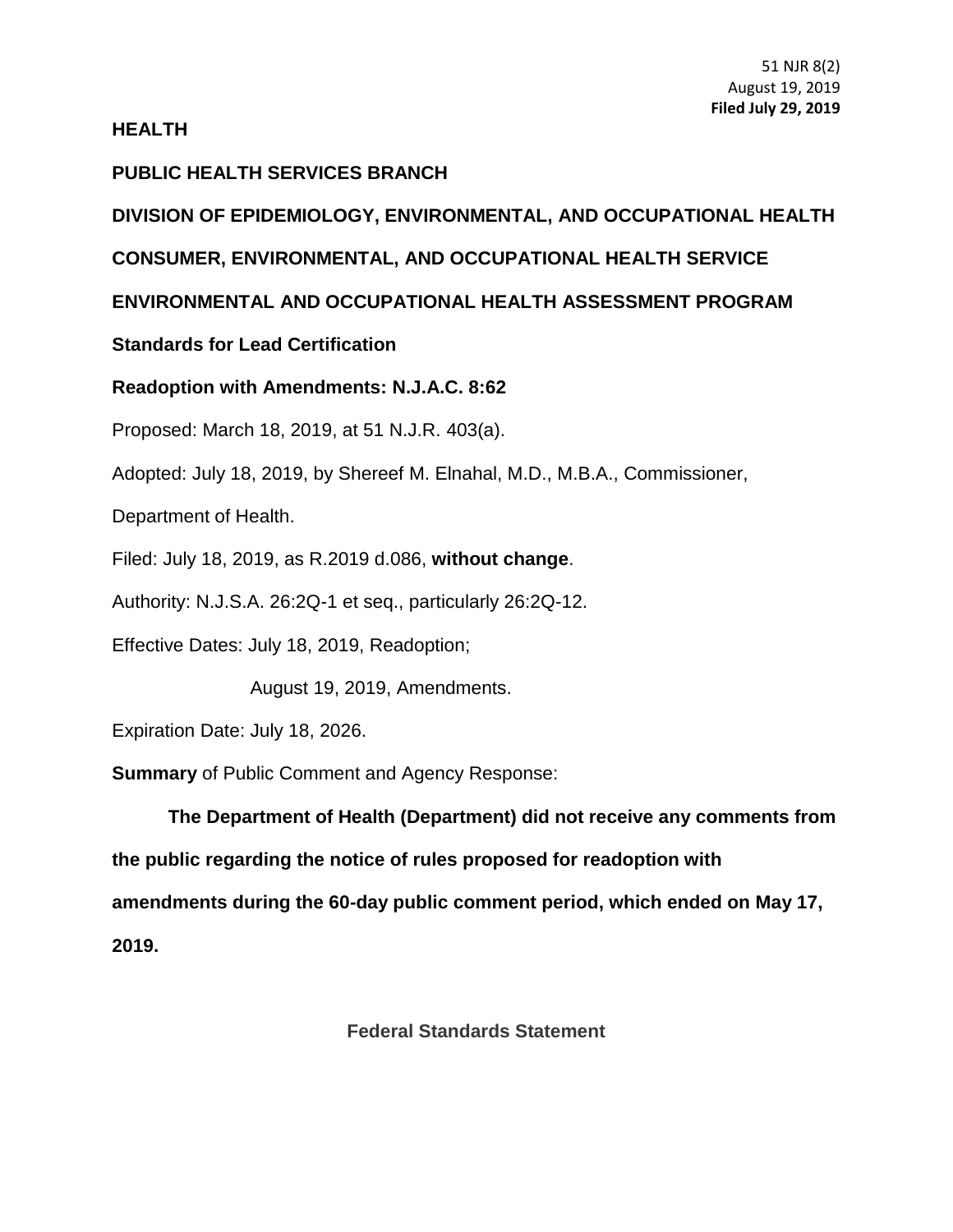#### **HEALTH**

### **PUBLIC HEALTH SERVICES BRANCH**

# **DIVISION OF EPIDEMIOLOGY, ENVIRONMENTAL, AND OCCUPATIONAL HEALTH**

# **CONSUMER, ENVIRONMENTAL, AND OCCUPATIONAL HEALTH SERVICE**

## **ENVIRONMENTAL AND OCCUPATIONAL HEALTH ASSESSMENT PROGRAM**

## **Standards for Lead Certification**

#### **Readoption with Amendments: [N.J.A.C. 8:62](https://advance.lexis.com/document/?pdmfid=1000516&crid=0969eb5b-757c-416c-a185-d45ae0db2859&pddocfullpath=%2Fshared%2Fdocument%2Fadministrative-codes%2Furn%3AcontentItem%3A525T-2860-02CX-732B-00000-00&pddocid=urn%3AcontentItem%3A525T-2860-02CX-732B-00000-00&pdcontentcomponentid=272167&pdteaserkey=sr0&pditab=allpods&ecomp=dy_fk&earg=sr0&prid=321f6432-cf8d-42ac-8381-ff8b648555bf)**

Proposed: March 18, 2019, at 51 N.J.R. 403(a).

Adopted: July 18, 2019, by Shereef M. Elnahal, M.D., M.B.A., Commissioner,

Department of Health.

Filed: July 18, 2019, as R.2019 d.086, **without change**.

Authority: N.J.S.A. 26:2Q-1 et seq., particularly 26:2Q-12.

Effective Dates: July 18, 2019, Readoption;

August 19, 2019, Amendments.

Expiration Date: July 18, 2026.

**Summary** of Public Comment and Agency Response:

**The Department of Health (Department) did not receive any comments from the public regarding the notice of rules proposed for readoption with amendments during the 60-day public comment period, which ended on May 17, 2019.** 

**Federal Standards Statement**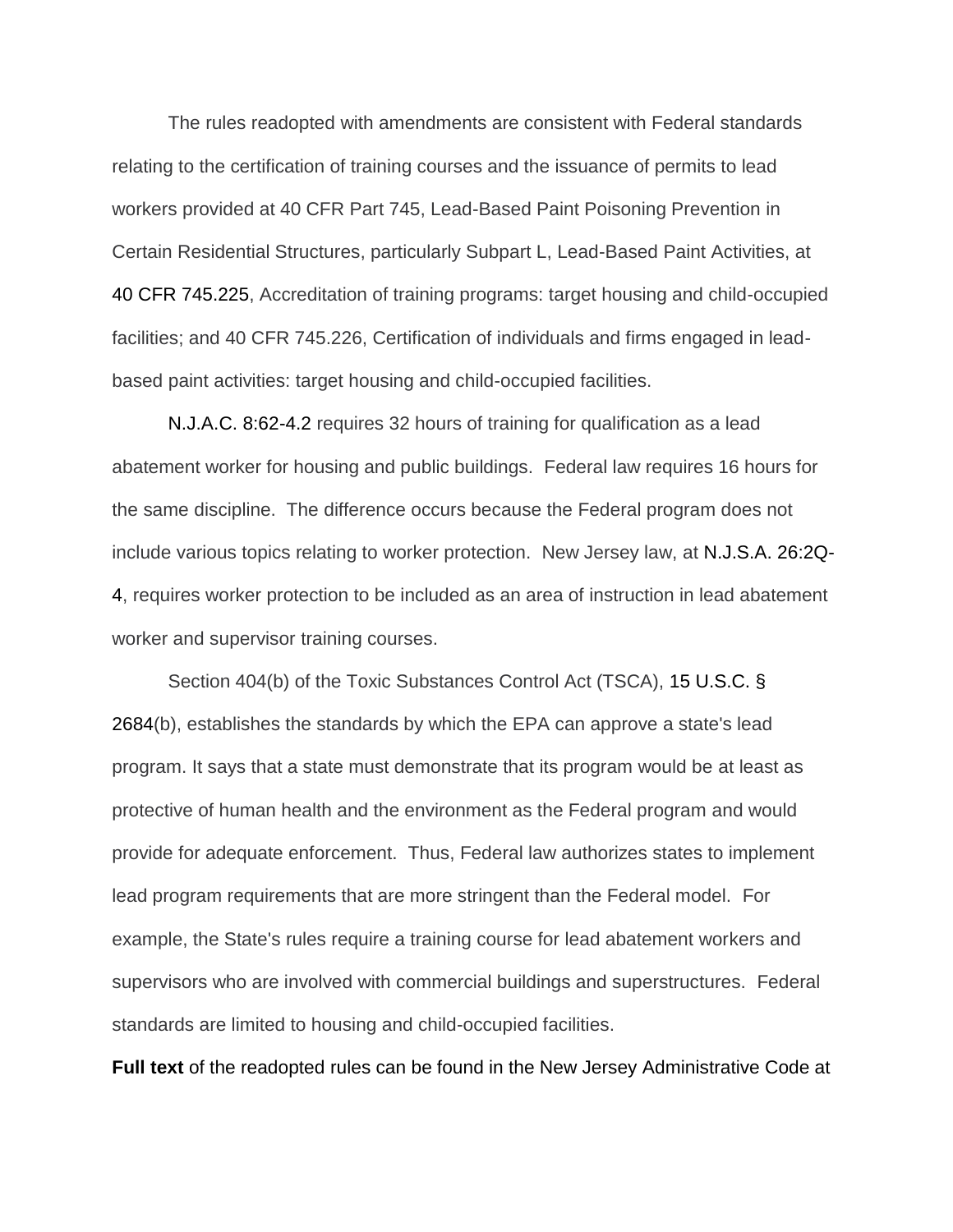The rules readopted with amendments are consistent with Federal standards relating to the certification of training courses and the issuance of permits to lead workers provided at 40 CFR Part 745, Lead-Based Paint Poisoning Prevention in Certain Residential Structures, particularly Subpart L, Lead-Based Paint Activities, at 40 CFR 745.225, Accreditation of training programs: target housing and child-occupied facilities; and 40 CFR 745.226, Certification of individuals and firms engaged in leadbased paint activities: target housing and child-occupied facilities.

N.J.A.C. 8:62-4.2 requires 32 hours of training for qualification as a lead abatement worker for housing and public buildings. Federal law requires 16 hours for the same discipline. The difference occurs because the Federal program does not include various topics relating to worker protection. New Jersey law, at N.J.S.A. 26:2Q-4, requires worker protection to be included as an area of instruction in lead abatement worker and supervisor training courses.

Section 404(b) of the Toxic Substances Control Act (TSCA), 15 U.S.C. § 2684(b), establishes the standards by which the EPA can approve a state's lead program. It says that a state must demonstrate that its program would be at least as protective of human health and the environment as the Federal program and would provide for adequate enforcement. Thus, Federal law authorizes states to implement lead program requirements that are more stringent than the Federal model. For example, the State's rules require a training course for lead abatement workers and supervisors who are involved with commercial buildings and superstructures. Federal standards are limited to housing and child-occupied facilities.

**Full text** of the readopted rules can be found in the New Jersey Administrative Code at